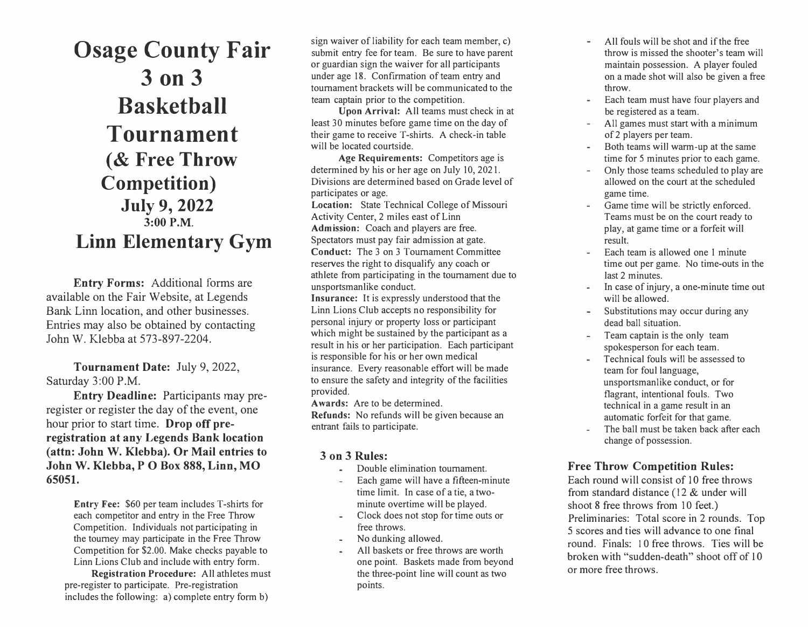**Osage County Fair 3 on 3 Basketball Tournament ( & Free Throw Competition) July 9, 2022 3:00 P.M. Linn Elementary Gym** 

**Entry Forms:** Additional forms are available on the Fair Website, at Legends Bank Linn location, and other businesses. Entries may also be obtained by contacting John W. Klebba at 573-897-2204.

**Tournament Date:** July 9, 2022, Saturday 3:00 P.M.

**Entry Deadline:** Participants may preregister or register the day of the event, one hour prior to start time. **Drop off preregistration at any Legends Bank location (attn: John W. Klebba). Or Mail entries to John W. Klebba, P O Box 888, Linn, MO 65051.** 

> **Entry Fee:** \$60 per team includes T-shirts for each competitor and entry in the Free Throw Competition. Individuals not participating in the tourney may participate in the Free Throw Competition for \$2.00. Make checks payable to Linn Lions Club and include with entry form.

**Registration Procedure:** All athletes must pre-register to participate. Pre-registration includes the following: a) complete entry form b)

sign waiver of liability for each team member, c) submit entry fee for team. Be sure to have parent or guardian sign the waiver for all participants under age 18. Confirmation of team entry and tournament brackets will be communicated to the team captain prior to the competition.

**Upon Arrival:** All teams must check in at least 30 minutes before game time on the day of their game to receive T-shirts. A check-in table will be located courtside.

**Age Requirements:** Competitors age is determined by his or her age on July 10, 2021. Divisions are determined based on Grade level of participates or age.

**Location:** State Technical College of Missouri Activity Center, 2 miles east of Linn **Admission:** Coach and players are free. Spectators must pay fair admission at gate. **Conduct:** The 3 on 3 Tournament Committee reserves the right to disqualify any coach or athlete from participating in the tournament due to

unsportsmanlike conduct. **Insurance:** It is expressly understood that the Linn Lions Club accepts no responsibility for personal injury or property loss or participant which might be sustained by the participant as a result in his or her participation. Each participant is responsible for his or her own medical insurance. Every reasonable effort will be made to ensure the safety and integrity of the facilities

provided.

**Awards:** Are to be determined.

**Refunds:** No refunds will be given because an entrant fails to participate.

## **3 on 3 Rules:**

- Double elimination tournament.
- Each game will have a fifteen-minute time limit. In case of a tie, a twominute overtime will be played.
- Clock does not stop for time outs or free throws.
- No dunking allowed.
- All baskets or free throws are worth one point. Baskets made from beyond the three-point line will count as two points.
- All fouls will be shot and if the free ω. throw is missed the shooter's team will maintain possession. A player fouled on a made shot will also be given a free throw.
- Each team must have four players and ¥. be registered as a team.
- 을 All games must start with a minimum of 2 players per team.
- Both teams will warm-up at the same  $\sim$ time for 5 minutes prior to each game.
- Only those teams scheduled to play are  $\sim$   $^{-1}$ allowed on the court at the scheduled game time.
- Game time will be strictly enforced. Teams must be on the court ready to play, at game time or a forfeit will result.
- Each team is allowed one 1 minute ωï time out per game. No time-outs in the last 2 minutes.
- In case of injury, a one-minute time out ar will be allowed.
- Substitutions may occur during any dead ball situation.
- Team captain is the only team  $\blacksquare$ spokesperson for each team.
- Technical fouls will be assessed to ä, team for foul language, unsportsmanlike conduct, or for flagrant, intentional fouls. Two technical in a game result in an automatic forfeit for that game.
- The ball must be taken back after each ÷ change of possession.

## **Free Throw Competition Rules:**

Each round will consist of 10 free throws from standard distance (12 & under will shoot 8 free throws from 10 feet.) Preliminaries: Total score in 2 rounds. Top 5 scores and ties will advance to one final round. Finals: l O free throws. Ties will be broken with "sudden-death" shoot off of 10 or more free throws.